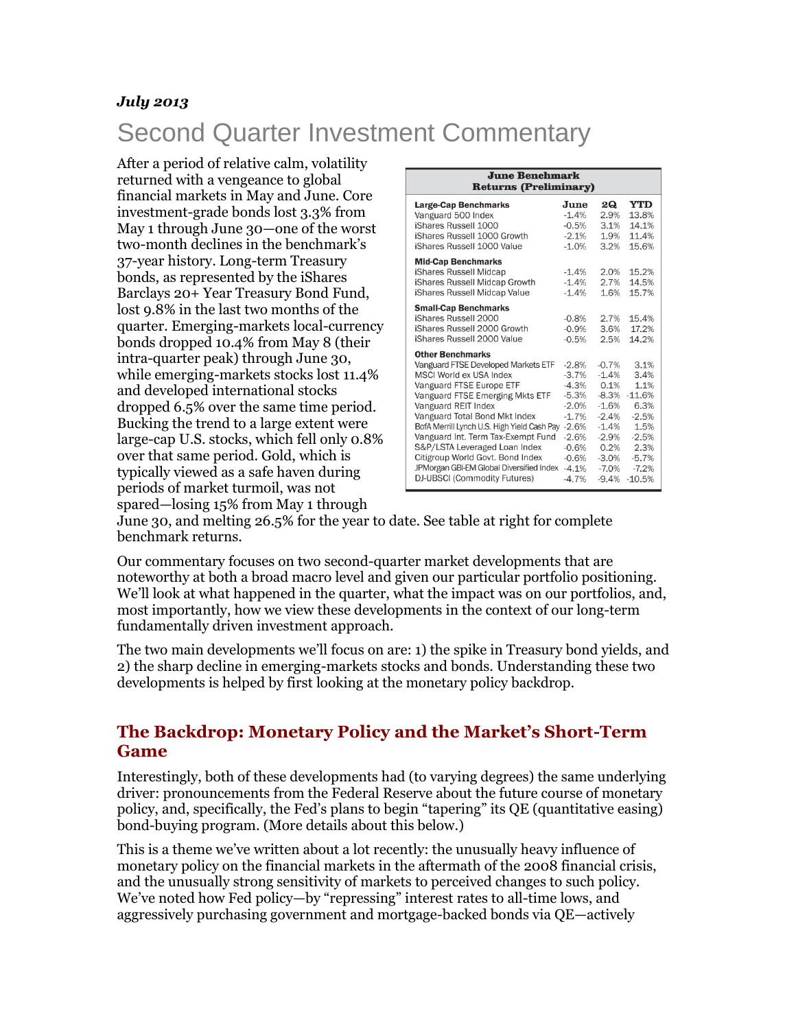### *July 2013*

# Second Quarter Investment Commentary

After a period of relative calm, volatility returned with a vengeance to global financial markets in May and June. Core investment-grade bonds lost 3.3% from May 1 through June 30—one of the worst two-month declines in the benchmark's 37-year history. Long-term Treasury bonds, as represented by the iShares Barclays 20+ Year Treasury Bond Fund, lost 9.8% in the last two months of the quarter. Emerging-markets local-currency bonds dropped 10.4% from May 8 (their intra-quarter peak) through June 30, while emerging-markets stocks lost 11.4% and developed international stocks dropped 6.5% over the same time period. Bucking the trend to a large extent were large-cap U.S. stocks, which fell only 0.8% over that same period. Gold, which is typically viewed as a safe haven during periods of market turmoil, was not spared—losing 15% from May 1 through

| <b>June Benchmark</b><br><b>Returns (Preliminary)</b>                                                                                                                                                                                                                                                                                                                                                                                                  |                                                                                                                                  |                                                                                                                            |                                                                                                                  |
|--------------------------------------------------------------------------------------------------------------------------------------------------------------------------------------------------------------------------------------------------------------------------------------------------------------------------------------------------------------------------------------------------------------------------------------------------------|----------------------------------------------------------------------------------------------------------------------------------|----------------------------------------------------------------------------------------------------------------------------|------------------------------------------------------------------------------------------------------------------|
| <b>Large-Cap Benchmarks</b><br>Vanguard 500 Index<br>iShares Russell 1000<br>iShares Russell 1000 Growth<br>iShares Russell 1000 Value                                                                                                                                                                                                                                                                                                                 | June<br>$-1.4%$<br>$-0.5%$<br>$-2.1%$<br>$-1.0%$                                                                                 | 2Q<br>2.9%<br>3.1%<br>1.9%<br>3.2%                                                                                         | <b>YTD</b><br>13.8%<br>14.1%<br>11.4%<br>15.6%                                                                   |
| <b>Mid-Cap Benchmarks</b><br>iShares Russell Midcap<br>iShares Russell Midcap Growth<br>iShares Russell Midcap Value<br><b>Small-Cap Benchmarks</b><br>iShares Russell 2000                                                                                                                                                                                                                                                                            | $-1.4%$<br>$-1.4%$<br>$-1.4%$<br>$-0.8%$                                                                                         | 2.0%<br>2.7%<br>1.6%<br>2.7%                                                                                               | 15.2%<br>14.5%<br>15.7%<br>15.4%                                                                                 |
| iShares Russell 2000 Growth<br>iShares Russell 2000 Value                                                                                                                                                                                                                                                                                                                                                                                              | $-0.9%$<br>$-0.5%$                                                                                                               | 3.6%<br>2.5%                                                                                                               | 17.2%<br>14.2%                                                                                                   |
| <b>Other Benchmarks</b><br>Vanguard FTSE Developed Markets ETF<br>MSCI World ex USA Index<br>Vanguard FTSE Europe ETF<br>Vanguard FTSE Emerging Mkts ETF<br>Vanguard REIT Index<br>Vanguard Total Bond Mkt Index<br>BofA Merrill Lynch U.S. High Yield Cash Pay<br>Vanguard Int. Term Tax-Exempt Fund<br>S&P/LSTA Leveraged Loan Index<br>Citigroup World Govt. Bond Index<br>JPMorgan GBI-EM Global Diversified Index<br>DJ-UBSCI (Commodity Futures) | $-2.8%$<br>$-3.7%$<br>$-4.3%$<br>$-5.3%$<br>$-2.0%$<br>$-1.7%$<br>$-2.6%$<br>$-2.6%$<br>$-0.6%$<br>$-0.6%$<br>$-4.1%$<br>$-4.7%$ | $-0.7%$<br>$-1.4%$<br>0.1%<br>$-8.3%$<br>$-1.6%$<br>$-2.4%$<br>$-1.4%$<br>$-2.9%$<br>0.2%<br>$-3.0%$<br>$-7.0%$<br>$-9.4%$ | 3.1%<br>3.4%<br>1.1%<br>$-11.6%$<br>6.3%<br>$-2.5%$<br>1.5%<br>$-2.5%$<br>2.3%<br>$-5.7%$<br>$-7.2%$<br>$-10.5%$ |

June 30, and melting 26.5% for the year to date. See table at right for complete benchmark returns.

Our commentary focuses on two second-quarter market developments that are noteworthy at both a broad macro level and given our particular portfolio positioning. We'll look at what happened in the quarter, what the impact was on our portfolios, and, most importantly, how we view these developments in the context of our long-term fundamentally driven investment approach.

The two main developments we'll focus on are: 1) the spike in Treasury bond yields, and 2) the sharp decline in emerging-markets stocks and bonds. Understanding these two developments is helped by first looking at the monetary policy backdrop.

## **The Backdrop: Monetary Policy and the Market's Short-Term Game**

Interestingly, both of these developments had (to varying degrees) the same underlying driver: pronouncements from the Federal Reserve about the future course of monetary policy, and, specifically, the Fed's plans to begin "tapering" its QE (quantitative easing) bond-buying program. (More details about this below.)

This is a theme we've written about a lot recently: the unusually heavy influence of monetary policy on the financial markets in the aftermath of the 2008 financial crisis, and the unusually strong sensitivity of markets to perceived changes to such policy. We've noted how Fed policy—by "repressing" interest rates to all-time lows, and aggressively purchasing government and mortgage-backed bonds via QE—actively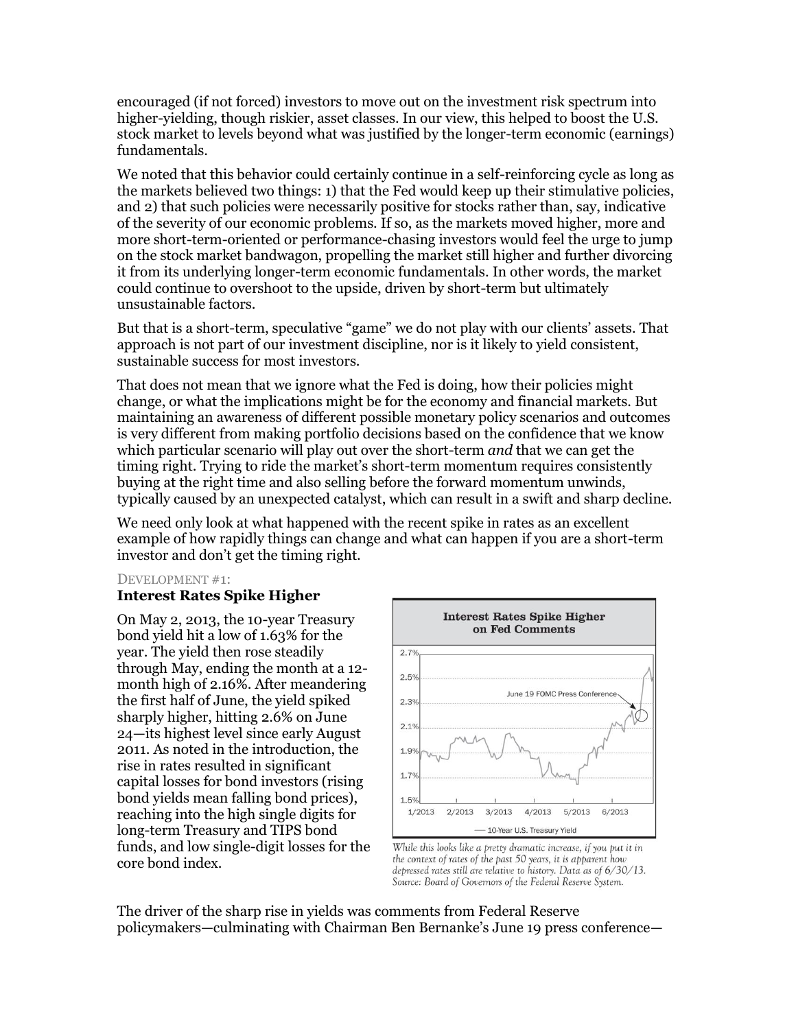encouraged (if not forced) investors to move out on the investment risk spectrum into higher-yielding, though riskier, asset classes. In our view, this helped to boost the U.S. stock market to levels beyond what was justified by the longer-term economic (earnings) fundamentals.

We noted that this behavior could certainly continue in a self-reinforcing cycle as long as the markets believed two things: 1) that the Fed would keep up their stimulative policies, and 2) that such policies were necessarily positive for stocks rather than, say, indicative of the severity of our economic problems. If so, as the markets moved higher, more and more short-term-oriented or performance-chasing investors would feel the urge to jump on the stock market bandwagon, propelling the market still higher and further divorcing it from its underlying longer-term economic fundamentals. In other words, the market could continue to overshoot to the upside, driven by short-term but ultimately unsustainable factors.

But that is a short-term, speculative "game" we do not play with our clients' assets. That approach is not part of our investment discipline, nor is it likely to yield consistent, sustainable success for most investors.

That does not mean that we ignore what the Fed is doing, how their policies might change, or what the implications might be for the economy and financial markets. But maintaining an awareness of different possible monetary policy scenarios and outcomes is very different from making portfolio decisions based on the confidence that we know which particular scenario will play out over the short-term *and* that we can get the timing right. Trying to ride the market's short-term momentum requires consistently buying at the right time and also selling before the forward momentum unwinds, typically caused by an unexpected catalyst, which can result in a swift and sharp decline.

We need only look at what happened with the recent spike in rates as an excellent example of how rapidly things can change and what can happen if you are a short-term investor and don't get the timing right.

#### DEVELOPMENT #1:

#### **Interest Rates Spike Higher**

On May 2, 2013, the 10-year Treasury bond yield hit a low of 1.63% for the year. The yield then rose steadily through May, ending the month at a 12 month high of 2.16%. After meandering the first half of June, the yield spiked sharply higher, hitting 2.6% on June 24—its highest level since early August 2011. As noted in the introduction, the rise in rates resulted in significant capital losses for bond investors (rising bond yields mean falling bond prices), reaching into the high single digits for long-term Treasury and TIPS bond funds, and low single-digit losses for the core bond index.



While this looks like a pretty dramatic increase, if you put it in the context of rates of the past 50 years, it is apparent how depressed rates still are relative to history. Data as of 6/30/13. Source: Board of Governors of the Federal Reserve System.

The driver of the sharp rise in yields was comments from Federal Reserve policymakers—culminating with Chairman Ben Bernanke's June 19 press conference—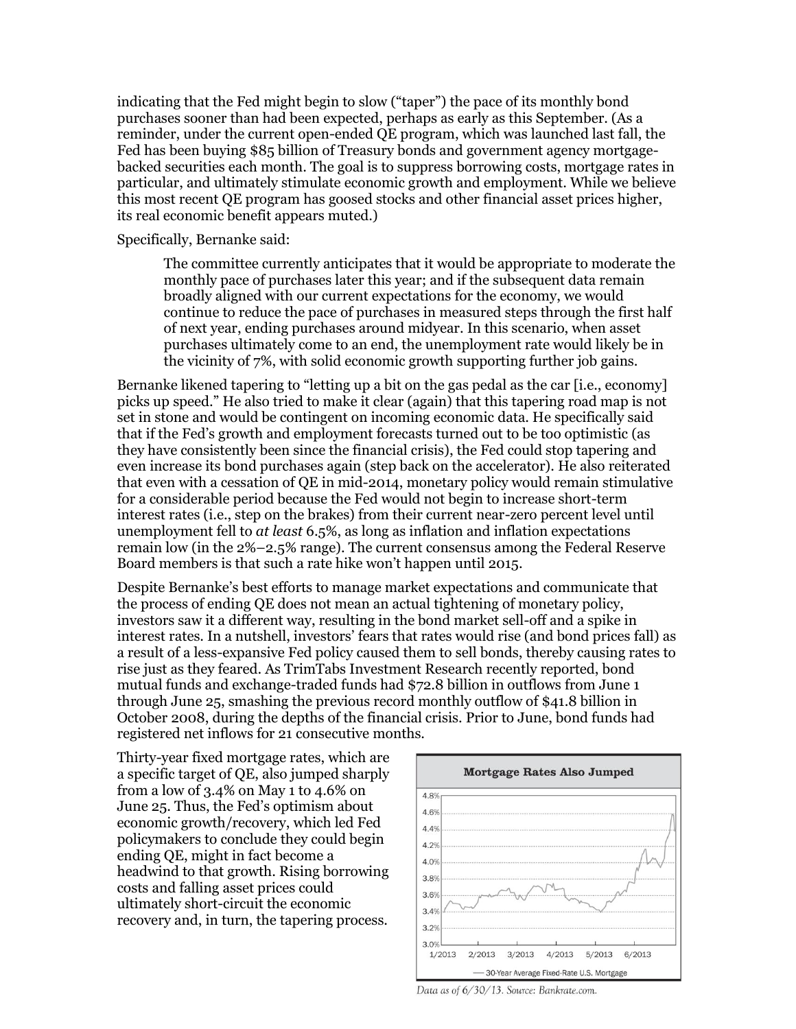indicating that the Fed might begin to slow ("taper") the pace of its monthly bond purchases sooner than had been expected, perhaps as early as this September. (As a reminder, under the current open-ended QE program, which was launched last fall, the Fed has been buying \$85 billion of Treasury bonds and government agency mortgagebacked securities each month. The goal is to suppress borrowing costs, mortgage rates in particular, and ultimately stimulate economic growth and employment. While we believe this most recent QE program has goosed stocks and other financial asset prices higher, its real economic benefit appears muted.)

Specifically, Bernanke said:

The committee currently anticipates that it would be appropriate to moderate the monthly pace of purchases later this year; and if the subsequent data remain broadly aligned with our current expectations for the economy, we would continue to reduce the pace of purchases in measured steps through the first half of next year, ending purchases around midyear. In this scenario, when asset purchases ultimately come to an end, the unemployment rate would likely be in the vicinity of 7%, with solid economic growth supporting further job gains.

Bernanke likened tapering to "letting up a bit on the gas pedal as the car [i.e., economy] picks up speed." He also tried to make it clear (again) that this tapering road map is not set in stone and would be contingent on incoming economic data. He specifically said that if the Fed's growth and employment forecasts turned out to be too optimistic (as they have consistently been since the financial crisis), the Fed could stop tapering and even increase its bond purchases again (step back on the accelerator). He also reiterated that even with a cessation of QE in mid-2014, monetary policy would remain stimulative for a considerable period because the Fed would not begin to increase short-term interest rates (i.e., step on the brakes) from their current near-zero percent level until unemployment fell to *at least* 6.5%, as long as inflation and inflation expectations remain low (in the 2%–2.5% range). The current consensus among the Federal Reserve Board members is that such a rate hike won't happen until 2015.

Despite Bernanke's best efforts to manage market expectations and communicate that the process of ending QE does not mean an actual tightening of monetary policy, investors saw it a different way, resulting in the bond market sell-off and a spike in interest rates. In a nutshell, investors' fears that rates would rise (and bond prices fall) as a result of a less-expansive Fed policy caused them to sell bonds, thereby causing rates to rise just as they feared. As TrimTabs Investment Research recently reported, bond mutual funds and exchange-traded funds had \$72.8 billion in outflows from June 1 through June 25, smashing the previous record monthly outflow of \$41.8 billion in October 2008, during the depths of the financial crisis. Prior to June, bond funds had registered net inflows for 21 consecutive months.

Thirty-year fixed mortgage rates, which are a specific target of QE, also jumped sharply from a low of 3.4% on May 1 to 4.6% on June 25. Thus, the Fed's optimism about economic growth/recovery, which led Fed policymakers to conclude they could begin ending QE, might in fact become a headwind to that growth. Rising borrowing costs and falling asset prices could ultimately short-circuit the economic recovery and, in turn, the tapering process.



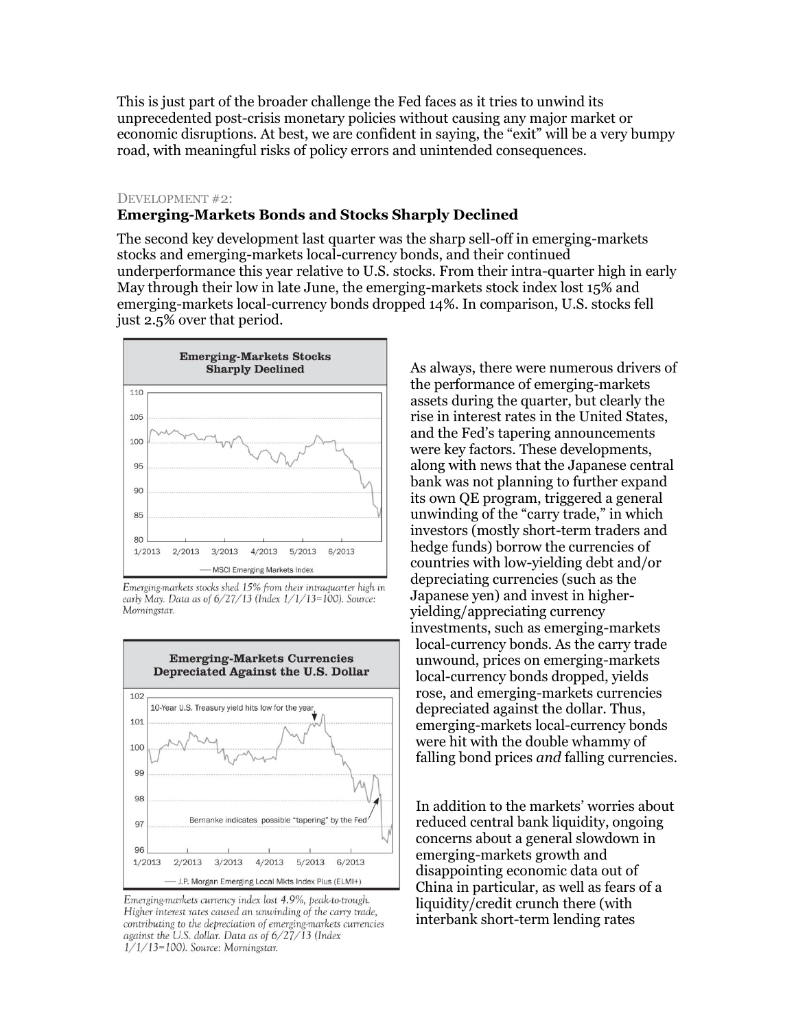This is just part of the broader challenge the Fed faces as it tries to unwind its unprecedented post-crisis monetary policies without causing any major market or economic disruptions. At best, we are confident in saying, the "exit" will be a very bumpy road, with meaningful risks of policy errors and unintended consequences.

#### DEVELOPMENT #2:

### **Emerging-Markets Bonds and Stocks Sharply Declined**

The second key development last quarter was the sharp sell-off in emerging-markets stocks and emerging-markets local-currency bonds, and their continued underperformance this year relative to U.S. stocks. From their intra-quarter high in early May through their low in late June, the emerging-markets stock index lost 15% and emerging-markets local-currency bonds dropped 14%. In comparison, U.S. stocks fell just 2.5% over that period.



Emerging-markets stocks shed 15% from their intraquarter high in early May. Data as of 6/27/13 (Index 1/1/13=100). Source: Morningstar.



Emerging-markets currency index lost 4.9%, peak-to-trough. Higher interest rates caused an unwinding of the carry trade, contributing to the depreciation of emerging-markets currencies against the U.S. dollar. Data as of 6/27/13 (Index  $1/1/13 = 100$ ). Source: Morningstar.

As always, there were numerous drivers of the performance of emerging-markets assets during the quarter, but clearly the rise in interest rates in the United States, and the Fed's tapering announcements were key factors. These developments, along with news that the Japanese central bank was not planning to further expand its own QE program, triggered a general unwinding of the "carry trade," in which investors (mostly short-term traders and hedge funds) borrow the currencies of countries with low-yielding debt and/or depreciating currencies (such as the Japanese yen) and invest in higheryielding/appreciating currency investments, such as emerging-markets local-currency bonds. As the carry trade unwound, prices on emerging-markets local-currency bonds dropped, yields rose, and emerging-markets currencies depreciated against the dollar. Thus, emerging-markets local-currency bonds were hit with the double whammy of falling bond prices *and* falling currencies.

In addition to the markets' worries about reduced central bank liquidity, ongoing concerns about a general slowdown in emerging-markets growth and disappointing economic data out of China in particular, as well as fears of a liquidity/credit crunch there (with interbank short-term lending rates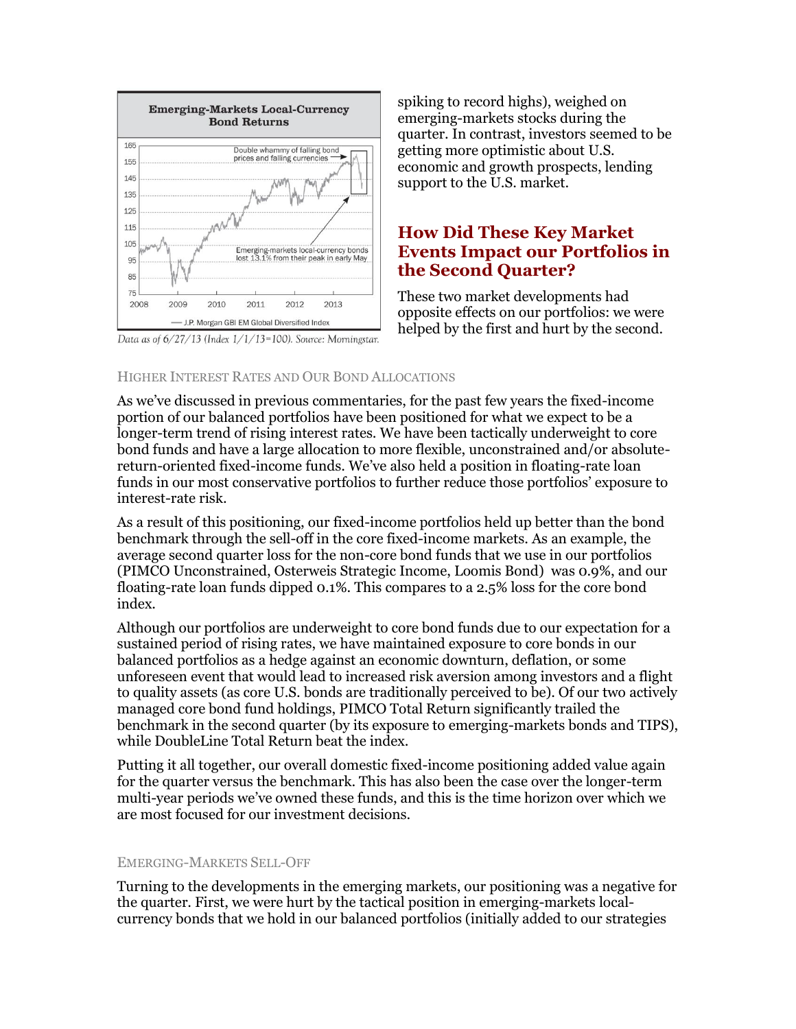

Data as of  $6/27/13$  (Index  $1/1/13=100$ ). Source: Morningstar.

spiking to record highs), weighed on emerging-markets stocks during the quarter. In contrast, investors seemed to be getting more optimistic about U.S. economic and growth prospects, lending support to the U.S. market.

## **How Did These Key Market Events Impact our Portfolios in the Second Quarter?**

These two market developments had opposite effects on our portfolios: we were helped by the first and hurt by the second.

#### HIGHER INTEREST RATES AND OUR BOND ALLOCATIONS

As we've discussed in previous commentaries, for the past few years the fixed-income portion of our balanced portfolios have been positioned for what we expect to be a longer-term trend of rising interest rates. We have been tactically underweight to core bond funds and have a large allocation to more flexible, unconstrained and/or absolutereturn-oriented fixed-income funds. We've also held a position in floating-rate loan funds in our most conservative portfolios to further reduce those portfolios' exposure to interest-rate risk.

As a result of this positioning, our fixed-income portfolios held up better than the bond benchmark through the sell-off in the core fixed-income markets. As an example, the average second quarter loss for the non-core bond funds that we use in our portfolios (PIMCO Unconstrained, Osterweis Strategic Income, Loomis Bond) was 0.9%, and our floating-rate loan funds dipped 0.1%. This compares to a 2.5% loss for the core bond index.

Although our portfolios are underweight to core bond funds due to our expectation for a sustained period of rising rates, we have maintained exposure to core bonds in our balanced portfolios as a hedge against an economic downturn, deflation, or some unforeseen event that would lead to increased risk aversion among investors and a flight to quality assets (as core U.S. bonds are traditionally perceived to be). Of our two actively managed core bond fund holdings, PIMCO Total Return significantly trailed the benchmark in the second quarter (by its exposure to emerging-markets bonds and TIPS), while DoubleLine Total Return beat the index.

Putting it all together, our overall domestic fixed-income positioning added value again for the quarter versus the benchmark. This has also been the case over the longer-term multi-year periods we've owned these funds, and this is the time horizon over which we are most focused for our investment decisions.

#### EMERGING-MARKETS SELL-OFF

Turning to the developments in the emerging markets, our positioning was a negative for the quarter. First, we were hurt by the tactical position in emerging-markets localcurrency bonds that we hold in our balanced portfolios (initially added to our strategies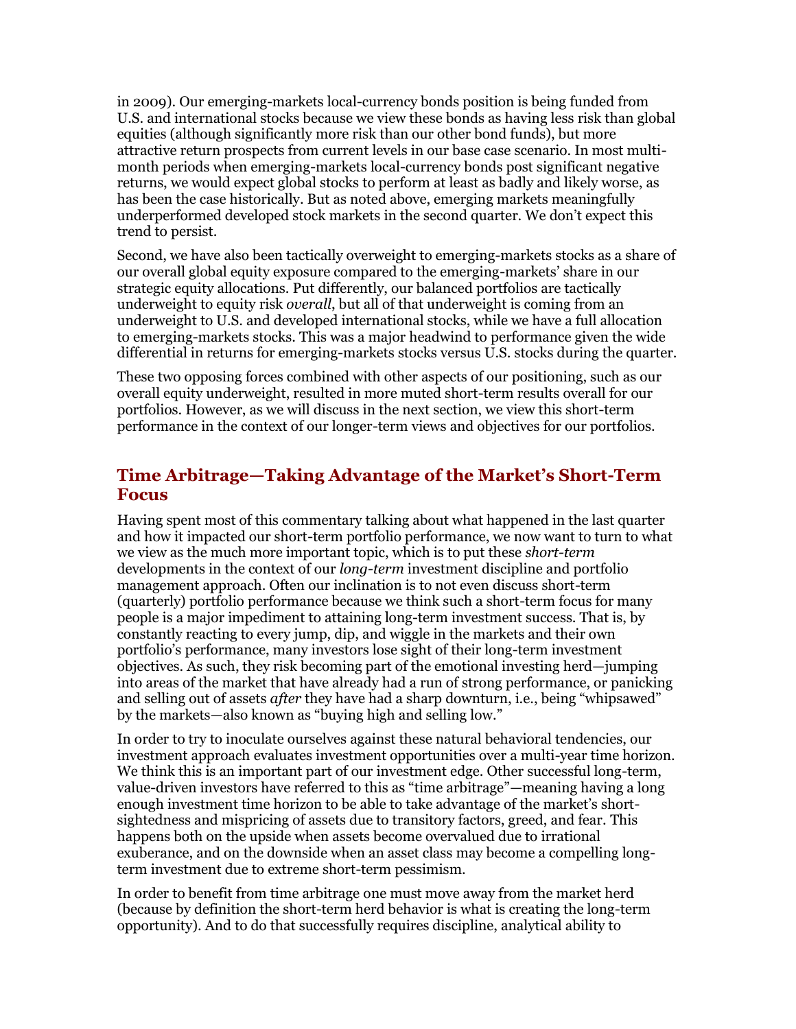in 2009). Our emerging-markets local-currency bonds position is being funded from U.S. and international stocks because we view these bonds as having less risk than global equities (although significantly more risk than our other bond funds), but more attractive return prospects from current levels in our base case scenario. In most multimonth periods when emerging-markets local-currency bonds post significant negative returns, we would expect global stocks to perform at least as badly and likely worse, as has been the case historically. But as noted above, emerging markets meaningfully underperformed developed stock markets in the second quarter. We don't expect this trend to persist.

Second, we have also been tactically overweight to emerging-markets stocks as a share of our overall global equity exposure compared to the emerging-markets' share in our strategic equity allocations. Put differently, our balanced portfolios are tactically underweight to equity risk *overall*, but all of that underweight is coming from an underweight to U.S. and developed international stocks, while we have a full allocation to emerging-markets stocks. This was a major headwind to performance given the wide differential in returns for emerging-markets stocks versus U.S. stocks during the quarter.

These two opposing forces combined with other aspects of our positioning, such as our overall equity underweight, resulted in more muted short-term results overall for our portfolios. However, as we will discuss in the next section, we view this short-term performance in the context of our longer-term views and objectives for our portfolios.

### **Time Arbitrage—Taking Advantage of the Market's Short-Term Focus**

Having spent most of this commentary talking about what happened in the last quarter and how it impacted our short-term portfolio performance, we now want to turn to what we view as the much more important topic, which is to put these *short-term* developments in the context of our *long-term* investment discipline and portfolio management approach. Often our inclination is to not even discuss short-term (quarterly) portfolio performance because we think such a short-term focus for many people is a major impediment to attaining long-term investment success. That is, by constantly reacting to every jump, dip, and wiggle in the markets and their own portfolio's performance, many investors lose sight of their long-term investment objectives. As such, they risk becoming part of the emotional investing herd—jumping into areas of the market that have already had a run of strong performance, or panicking and selling out of assets *after* they have had a sharp downturn, i.e., being "whipsawed" by the markets—also known as "buying high and selling low."

In order to try to inoculate ourselves against these natural behavioral tendencies, our investment approach evaluates investment opportunities over a multi-year time horizon. We think this is an important part of our investment edge. Other successful long-term, value-driven investors have referred to this as "time arbitrage"—meaning having a long enough investment time horizon to be able to take advantage of the market's shortsightedness and mispricing of assets due to transitory factors, greed, and fear. This happens both on the upside when assets become overvalued due to irrational exuberance, and on the downside when an asset class may become a compelling longterm investment due to extreme short-term pessimism.

In order to benefit from time arbitrage one must move away from the market herd (because by definition the short-term herd behavior is what is creating the long-term opportunity). And to do that successfully requires discipline, analytical ability to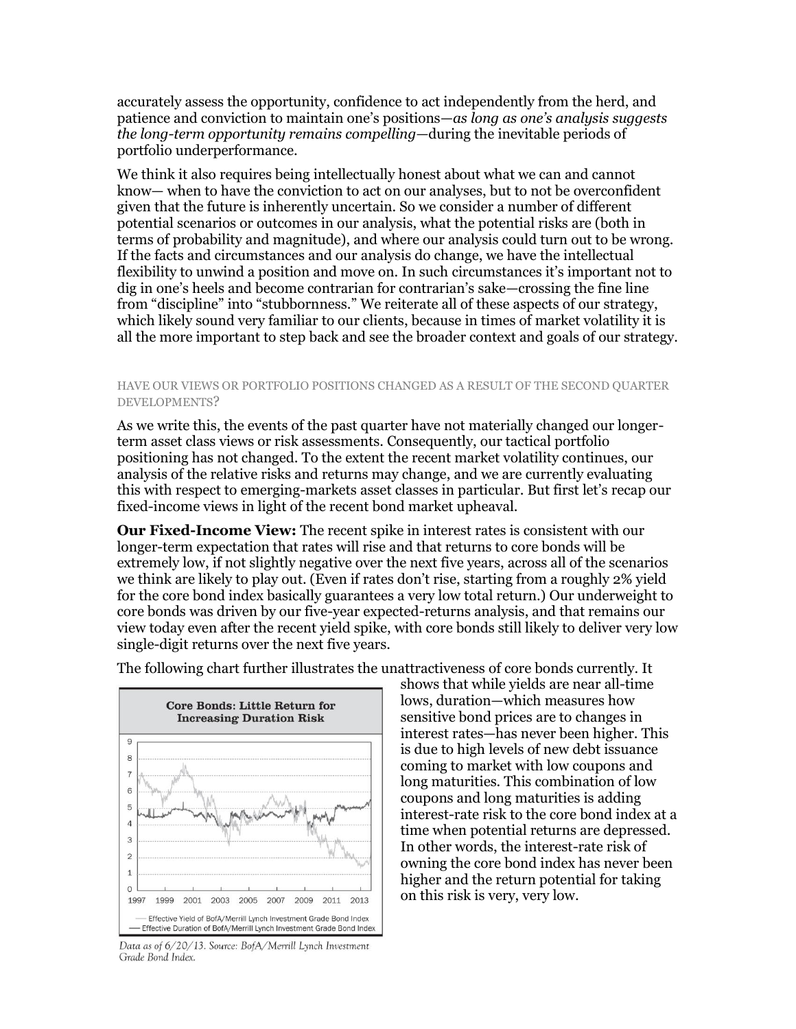accurately assess the opportunity, confidence to act independently from the herd, and patience and conviction to maintain one's positions—*as long as one's analysis suggests the long-term opportunity remains compelling*—during the inevitable periods of portfolio underperformance.

We think it also requires being intellectually honest about what we can and cannot know— when to have the conviction to act on our analyses, but to not be overconfident given that the future is inherently uncertain. So we consider a number of different potential scenarios or outcomes in our analysis, what the potential risks are (both in terms of probability and magnitude), and where our analysis could turn out to be wrong. If the facts and circumstances and our analysis do change, we have the intellectual flexibility to unwind a position and move on. In such circumstances it's important not to dig in one's heels and become contrarian for contrarian's sake—crossing the fine line from "discipline" into "stubbornness." We reiterate all of these aspects of our strategy, which likely sound very familiar to our clients, because in times of market volatility it is all the more important to step back and see the broader context and goals of our strategy.

### HAVE OUR VIEWS OR PORTFOLIO POSITIONS CHANGED AS A RESULT OF THE SECOND QUARTER DEVELOPMENTS?

As we write this, the events of the past quarter have not materially changed our longerterm asset class views or risk assessments. Consequently, our tactical portfolio positioning has not changed. To the extent the recent market volatility continues, our analysis of the relative risks and returns may change, and we are currently evaluating this with respect to emerging-markets asset classes in particular. But first let's recap our fixed-income views in light of the recent bond market upheaval.

**Our Fixed-Income View:** The recent spike in interest rates is consistent with our longer-term expectation that rates will rise and that returns to core bonds will be extremely low, if not slightly negative over the next five years, across all of the scenarios we think are likely to play out. (Even if rates don't rise, starting from a roughly 2% yield for the core bond index basically guarantees a very low total return.) Our underweight to core bonds was driven by our five-year expected-returns analysis, and that remains our view today even after the recent yield spike, with core bonds still likely to deliver very low single-digit returns over the next five years.



The following chart further illustrates the unattractiveness of core bonds currently. It

shows that while yields are near all-time lows, duration—which measures how sensitive bond prices are to changes in interest rates—has never been higher. This is due to high levels of new debt issuance coming to market with low coupons and long maturities. This combination of low coupons and long maturities is adding interest-rate risk to the core bond index at a time when potential returns are depressed. In other words, the interest-rate risk of owning the core bond index has never been higher and the return potential for taking on this risk is very, very low.

Data as of 6/20/13. Source: BofA/Merrill Lynch Investment Grade Bond Index.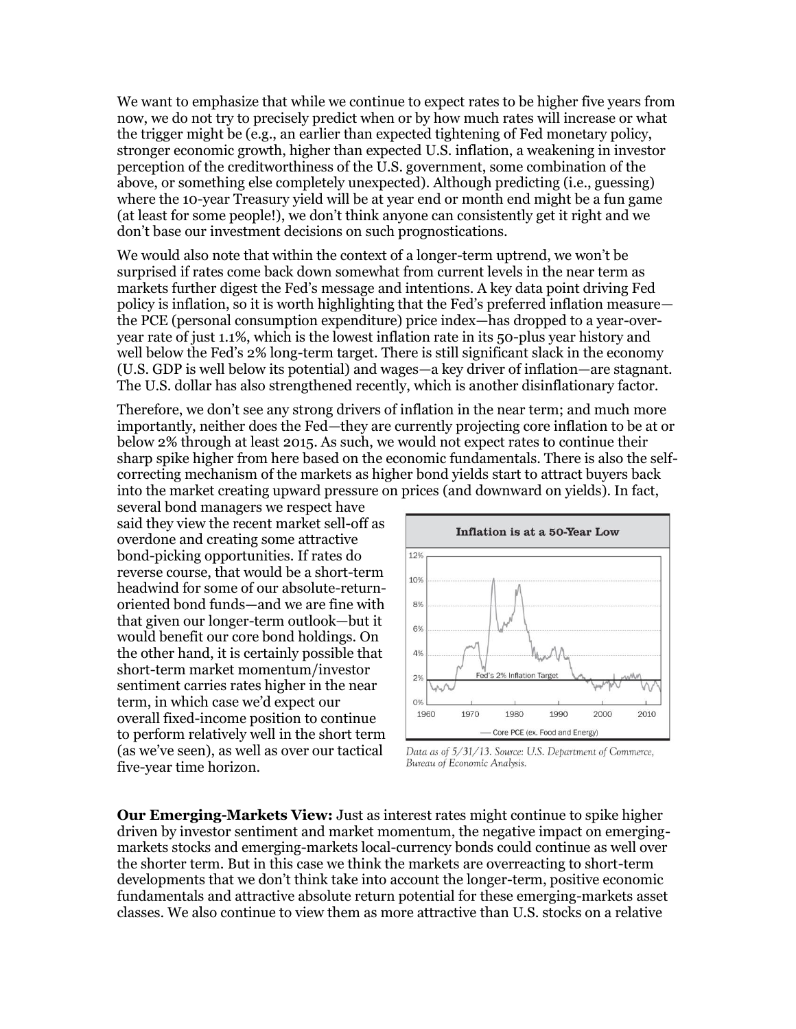We want to emphasize that while we continue to expect rates to be higher five years from now, we do not try to precisely predict when or by how much rates will increase or what the trigger might be (e.g., an earlier than expected tightening of Fed monetary policy, stronger economic growth, higher than expected U.S. inflation, a weakening in investor perception of the creditworthiness of the U.S. government, some combination of the above, or something else completely unexpected). Although predicting (i.e., guessing) where the 10-year Treasury yield will be at year end or month end might be a fun game (at least for some people!), we don't think anyone can consistently get it right and we don't base our investment decisions on such prognostications.

We would also note that within the context of a longer-term uptrend, we won't be surprised if rates come back down somewhat from current levels in the near term as markets further digest the Fed's message and intentions. A key data point driving Fed policy is inflation, so it is worth highlighting that the Fed's preferred inflation measure the PCE (personal consumption expenditure) price index—has dropped to a year-overyear rate of just 1.1%, which is the lowest inflation rate in its 50-plus year history and well below the Fed's 2% long-term target. There is still significant slack in the economy (U.S. GDP is well below its potential) and wages—a key driver of inflation—are stagnant. The U.S. dollar has also strengthened recently, which is another disinflationary factor.

Therefore, we don't see any strong drivers of inflation in the near term; and much more importantly, neither does the Fed—they are currently projecting core inflation to be at or below 2% through at least 2015. As such, we would not expect rates to continue their sharp spike higher from here based on the economic fundamentals. There is also the selfcorrecting mechanism of the markets as higher bond yields start to attract buyers back into the market creating upward pressure on prices (and downward on yields). In fact,

several bond managers we respect have said they view the recent market sell-off as overdone and creating some attractive bond-picking opportunities. If rates do reverse course, that would be a short-term headwind for some of our absolute-returnoriented bond funds—and we are fine with that given our longer-term outlook—but it would benefit our core bond holdings. On the other hand, it is certainly possible that short-term market momentum/investor sentiment carries rates higher in the near term, in which case we'd expect our overall fixed-income position to continue to perform relatively well in the short term (as we've seen), as well as over our tactical five-year time horizon.



Data as of 5/31/13. Source: U.S. Department of Commerce, Bureau of Economic Analysis.

**Our Emerging-Markets View:** Just as interest rates might continue to spike higher driven by investor sentiment and market momentum, the negative impact on emergingmarkets stocks and emerging-markets local-currency bonds could continue as well over the shorter term. But in this case we think the markets are overreacting to short-term developments that we don't think take into account the longer-term, positive economic fundamentals and attractive absolute return potential for these emerging-markets asset classes. We also continue to view them as more attractive than U.S. stocks on a relative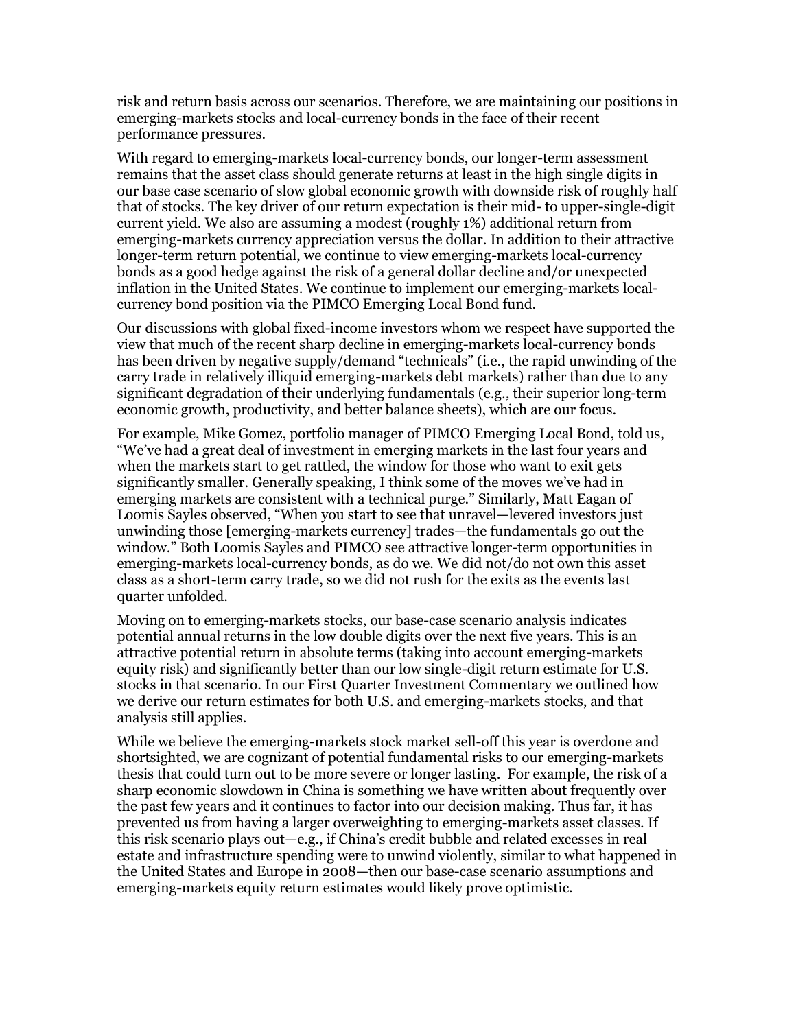risk and return basis across our scenarios. Therefore, we are maintaining our positions in emerging-markets stocks and local-currency bonds in the face of their recent performance pressures.

With regard to emerging-markets local-currency bonds, our longer-term assessment remains that the asset class should generate returns at least in the high single digits in our base case scenario of slow global economic growth with downside risk of roughly half that of stocks. The key driver of our return expectation is their mid- to upper-single-digit current yield. We also are assuming a modest (roughly 1%) additional return from emerging-markets currency appreciation versus the dollar. In addition to their attractive longer-term return potential, we continue to view emerging-markets local-currency bonds as a good hedge against the risk of a general dollar decline and/or unexpected inflation in the United States. We continue to implement our emerging-markets localcurrency bond position via the PIMCO Emerging Local Bond fund.

Our discussions with global fixed-income investors whom we respect have supported the view that much of the recent sharp decline in emerging-markets local-currency bonds has been driven by negative supply/demand "technicals" (i.e., the rapid unwinding of the carry trade in relatively illiquid emerging-markets debt markets) rather than due to any significant degradation of their underlying fundamentals (e.g., their superior long-term economic growth, productivity, and better balance sheets), which are our focus.

For example, Mike Gomez, portfolio manager of PIMCO Emerging Local Bond, told us, "We've had a great deal of investment in emerging markets in the last four years and when the markets start to get rattled, the window for those who want to exit gets significantly smaller. Generally speaking, I think some of the moves we've had in emerging markets are consistent with a technical purge." Similarly, Matt Eagan of Loomis Sayles observed, "When you start to see that unravel—levered investors just unwinding those [emerging-markets currency] trades—the fundamentals go out the window." Both Loomis Sayles and PIMCO see attractive longer-term opportunities in emerging-markets local-currency bonds, as do we. We did not/do not own this asset class as a short-term carry trade, so we did not rush for the exits as the events last quarter unfolded.

Moving on to emerging-markets stocks, our base-case scenario analysis indicates potential annual returns in the low double digits over the next five years. This is an attractive potential return in absolute terms (taking into account emerging-markets equity risk) and significantly better than our low single-digit return estimate for U.S. stocks in that scenario. In our First Quarter Investment Commentary we outlined how we derive our return estimates for both U.S. and emerging-markets stocks, and that analysis still applies.

While we believe the emerging-markets stock market sell-off this year is overdone and shortsighted, we are cognizant of potential fundamental risks to our emerging-markets thesis that could turn out to be more severe or longer lasting. For example, the risk of a sharp economic slowdown in China is something we have written about frequently over the past few years and it continues to factor into our decision making. Thus far, it has prevented us from having a larger overweighting to emerging-markets asset classes. If this risk scenario plays out—e.g., if China's credit bubble and related excesses in real estate and infrastructure spending were to unwind violently, similar to what happened in the United States and Europe in 2008—then our base-case scenario assumptions and emerging-markets equity return estimates would likely prove optimistic.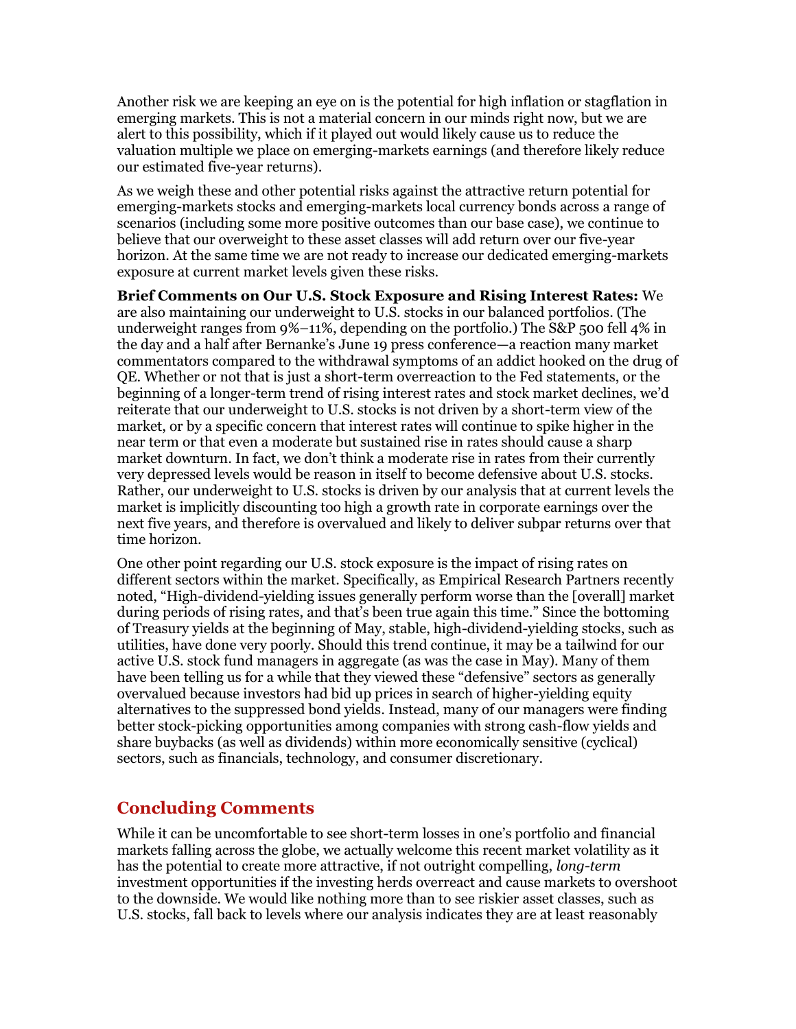Another risk we are keeping an eye on is the potential for high inflation or stagflation in emerging markets. This is not a material concern in our minds right now, but we are alert to this possibility, which if it played out would likely cause us to reduce the valuation multiple we place on emerging-markets earnings (and therefore likely reduce our estimated five-year returns).

As we weigh these and other potential risks against the attractive return potential for emerging-markets stocks and emerging-markets local currency bonds across a range of scenarios (including some more positive outcomes than our base case), we continue to believe that our overweight to these asset classes will add return over our five-year horizon. At the same time we are not ready to increase our dedicated emerging-markets exposure at current market levels given these risks.

**Brief Comments on Our U.S. Stock Exposure and Rising Interest Rates:** We are also maintaining our underweight to U.S. stocks in our balanced portfolios. (The underweight ranges from 9%–11%, depending on the portfolio.) The S&P 500 fell 4% in the day and a half after Bernanke's June 19 press conference—a reaction many market commentators compared to the withdrawal symptoms of an addict hooked on the drug of QE. Whether or not that is just a short-term overreaction to the Fed statements, or the beginning of a longer-term trend of rising interest rates and stock market declines, we'd reiterate that our underweight to U.S. stocks is not driven by a short-term view of the market, or by a specific concern that interest rates will continue to spike higher in the near term or that even a moderate but sustained rise in rates should cause a sharp market downturn. In fact, we don't think a moderate rise in rates from their currently very depressed levels would be reason in itself to become defensive about U.S. stocks. Rather, our underweight to U.S. stocks is driven by our analysis that at current levels the market is implicitly discounting too high a growth rate in corporate earnings over the next five years, and therefore is overvalued and likely to deliver subpar returns over that time horizon.

One other point regarding our U.S. stock exposure is the impact of rising rates on different sectors within the market. Specifically, as Empirical Research Partners recently noted, "High-dividend-yielding issues generally perform worse than the [overall] market during periods of rising rates, and that's been true again this time." Since the bottoming of Treasury yields at the beginning of May, stable, high-dividend-yielding stocks, such as utilities, have done very poorly. Should this trend continue, it may be a tailwind for our active U.S. stock fund managers in aggregate (as was the case in May). Many of them have been telling us for a while that they viewed these "defensive" sectors as generally overvalued because investors had bid up prices in search of higher-yielding equity alternatives to the suppressed bond yields. Instead, many of our managers were finding better stock-picking opportunities among companies with strong cash-flow yields and share buybacks (as well as dividends) within more economically sensitive (cyclical) sectors, such as financials, technology, and consumer discretionary.

# **Concluding Comments**

While it can be uncomfortable to see short-term losses in one's portfolio and financial markets falling across the globe, we actually welcome this recent market volatility as it has the potential to create more attractive, if not outright compelling, *long-term* investment opportunities if the investing herds overreact and cause markets to overshoot to the downside. We would like nothing more than to see riskier asset classes, such as U.S. stocks, fall back to levels where our analysis indicates they are at least reasonably